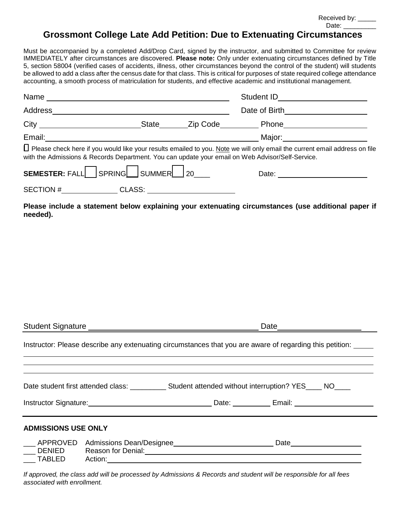Received by: \_\_\_\_\_ Date:  $\_\_$ 

## **Grossmont College Late Add Petition: Due to Extenuating Circumstances**

Must be accompanied by a completed Add/Drop Card, signed by the instructor, and submitted to Committee for review IMMEDIATELY after circumstances are discovered. **Please note:** Only under extenuating circumstances defined by Title 5, section 58004 (verified cases of accidents, illness, other circumstances beyond the control of the student) will students be allowed to add a class after the census date for that class. This is critical for purposes of state required college attendance accounting, a smooth process of matriculation for students, and effective academic and institutional management.

|                                                                                                                                                                                                                                  |  |  | Student ID <u>_____________________</u> |  |
|----------------------------------------------------------------------------------------------------------------------------------------------------------------------------------------------------------------------------------|--|--|-----------------------------------------|--|
|                                                                                                                                                                                                                                  |  |  |                                         |  |
| City ________________________________State ________Zip Code___________Phone________________________                                                                                                                              |  |  |                                         |  |
| Email: 2008. [2010] Major: Major: 2010 Major: 2010 Major: 2010 Major: 2010 Major: 2010 Major: 2010 Major: 2010                                                                                                                   |  |  |                                         |  |
| □ Please check here if you would like your results emailed to you. Note we will only email the current email address on file<br>with the Admissions & Records Department. You can update your email on Web Advisor/Self-Service. |  |  |                                         |  |
| SEMESTER: $FALL$ SPRING SUMMER $20$                                                                                                                                                                                              |  |  | Date: _________________________         |  |
| SECTION #_______________CLASS: _______________________                                                                                                                                                                           |  |  |                                         |  |
| Please include a statement below explaining your extenuating circumstances (use additional paper if<br>needed).                                                                                                                  |  |  |                                         |  |

| Instructor: Please describe any extenuating circumstances that you are aware of regarding this petition:                                                                                                                             |                                                                                                                |  |  |  |  |
|--------------------------------------------------------------------------------------------------------------------------------------------------------------------------------------------------------------------------------------|----------------------------------------------------------------------------------------------------------------|--|--|--|--|
| Instructor Signature: <u>New York: New York: New York: New York: New York: New York: New York: New York: New York: New York: New York: New York: New York: New York: New York: New York: New York: New York: New York: New York:</u> |                                                                                                                |  |  |  |  |
| <b>ADMISSIONS USE ONLY</b><br>APPROVED<br><b>TABLED</b>                                                                                                                                                                              | DENIED Reason for Denial: 2008 and 2009 and 2010 and 2010 and 2010 and 2010 and 2010 and 2010 and 2010 and 201 |  |  |  |  |

Student Signature **Date** Date of **Date** Date **Date** 

*If approved, the class add will be processed by Admissions & Records and student will be responsible for all fees associated with enrollment.*